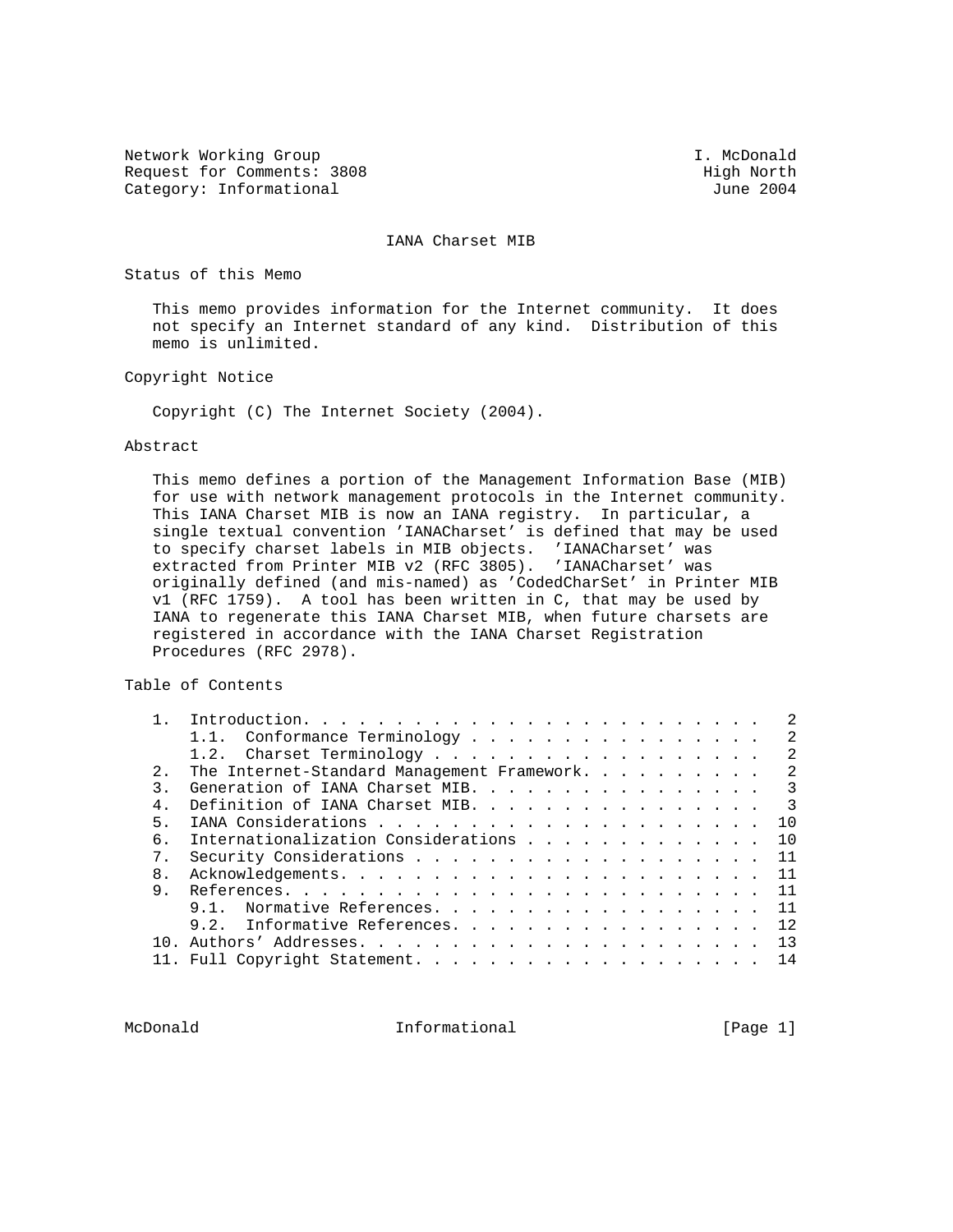Network Working Group and the set of the set of the set of the set of the set of the set of the set of the set of the set of the set of the set of the set of the set of the set of the set of the set of the set of the set o Request for Comments: 3808 High North Category: Informational Assembly Category: Informational Assembly Category: The 2004 Category: Informational

IANA Charset MIB

Status of this Memo

 This memo provides information for the Internet community. It does not specify an Internet standard of any kind. Distribution of this memo is unlimited.

Copyright Notice

Copyright (C) The Internet Society (2004).

## Abstract

 This memo defines a portion of the Management Information Base (MIB) for use with network management protocols in the Internet community. This IANA Charset MIB is now an IANA registry. In particular, a single textual convention 'IANACharset' is defined that may be used to specify charset labels in MIB objects. 'IANACharset' was extracted from Printer MIB v2 (RFC 3805). 'IANACharset' was originally defined (and mis-named) as 'CodedCharSet' in Printer MIB v1 (RFC 1759). A tool has been written in C, that may be used by IANA to regenerate this IANA Charset MIB, when future charsets are registered in accordance with the IANA Charset Registration Procedures (RFC 2978).

Table of Contents

|        | Conformance Terminology<br>1.1.             | -2            |
|--------|---------------------------------------------|---------------|
|        |                                             | 2             |
| 2.1    | The Internet-Standard Management Framework. | 2             |
|        | Generation of IANA Charset MIB. 3           |               |
| $4 \,$ | Definition of IANA Charset MIB.             | $\mathcal{S}$ |
| 5.     |                                             | 10            |
| б.     | Internationalization Considerations         | 10            |
| 7.     |                                             | 11            |
| 8.     |                                             |               |
| 9.     |                                             | 11            |
|        | Normative References.                       | 11            |
|        | 9.2. Informative References.                | 12            |
| 1 N    |                                             | 13            |
|        | 11. Full Copyright Statement.               | 14            |
|        |                                             |               |

McDonald **Informational Informational Informational** [Page 1]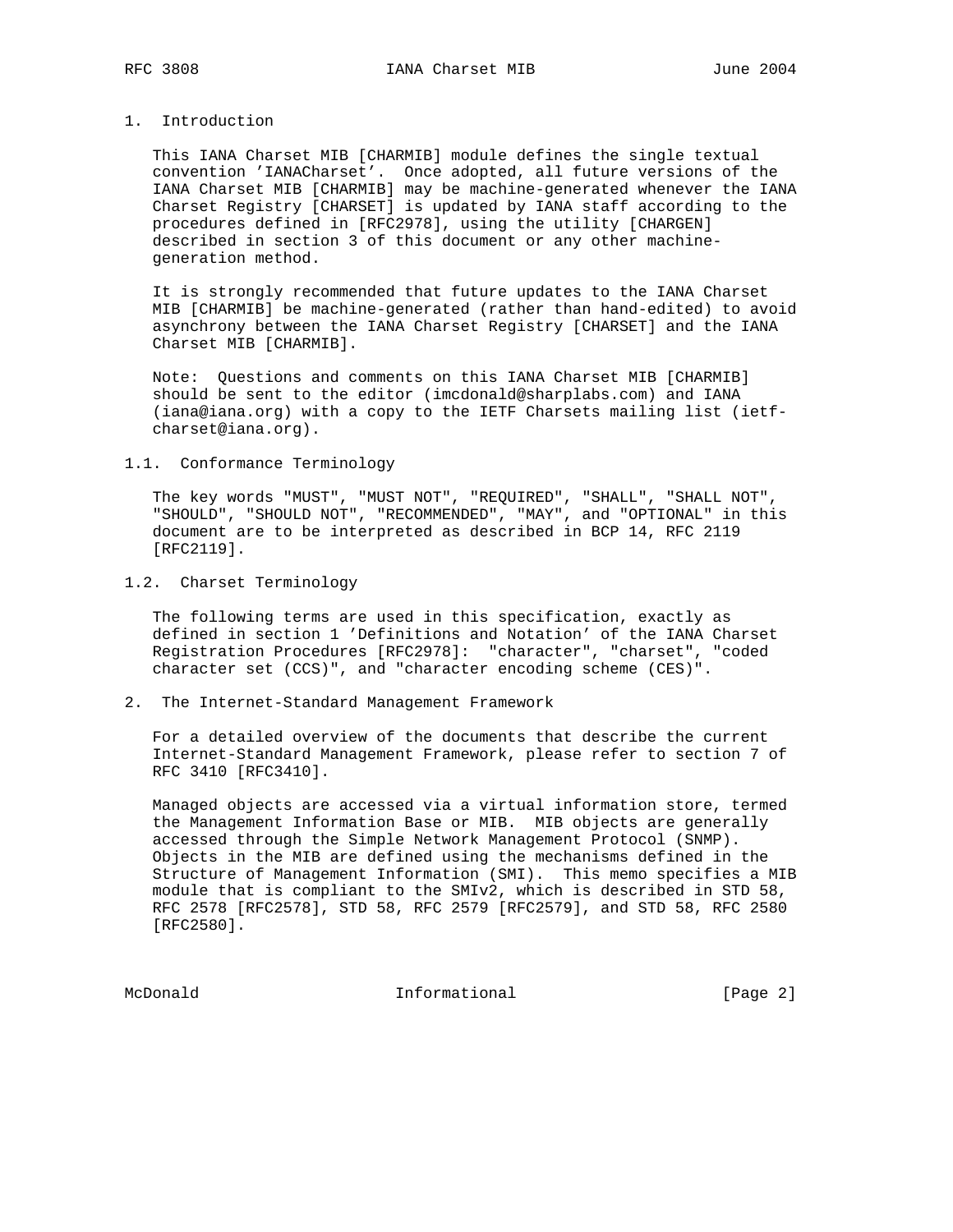# 1. Introduction

 This IANA Charset MIB [CHARMIB] module defines the single textual convention 'IANACharset'. Once adopted, all future versions of the IANA Charset MIB [CHARMIB] may be machine-generated whenever the IANA Charset Registry [CHARSET] is updated by IANA staff according to the procedures defined in [RFC2978], using the utility [CHARGEN] described in section 3 of this document or any other machine generation method.

 It is strongly recommended that future updates to the IANA Charset MIB [CHARMIB] be machine-generated (rather than hand-edited) to avoid asynchrony between the IANA Charset Registry [CHARSET] and the IANA Charset MIB [CHARMIB].

 Note: Questions and comments on this IANA Charset MIB [CHARMIB] should be sent to the editor (imcdonald@sharplabs.com) and IANA (iana@iana.org) with a copy to the IETF Charsets mailing list (ietf charset@iana.org).

## 1.1. Conformance Terminology

 The key words "MUST", "MUST NOT", "REQUIRED", "SHALL", "SHALL NOT", "SHOULD", "SHOULD NOT", "RECOMMENDED", "MAY", and "OPTIONAL" in this document are to be interpreted as described in BCP 14, RFC 2119 [RFC2119].

## 1.2. Charset Terminology

 The following terms are used in this specification, exactly as defined in section 1 'Definitions and Notation' of the IANA Charset Registration Procedures [RFC2978]: "character", "charset", "coded character set (CCS)", and "character encoding scheme (CES)".

## 2. The Internet-Standard Management Framework

 For a detailed overview of the documents that describe the current Internet-Standard Management Framework, please refer to section 7 of RFC 3410 [RFC3410].

 Managed objects are accessed via a virtual information store, termed the Management Information Base or MIB. MIB objects are generally accessed through the Simple Network Management Protocol (SNMP). Objects in the MIB are defined using the mechanisms defined in the Structure of Management Information (SMI). This memo specifies a MIB module that is compliant to the SMIv2, which is described in STD 58, RFC 2578 [RFC2578], STD 58, RFC 2579 [RFC2579], and STD 58, RFC 2580 [RFC2580].

McDonald Informational [Page 2]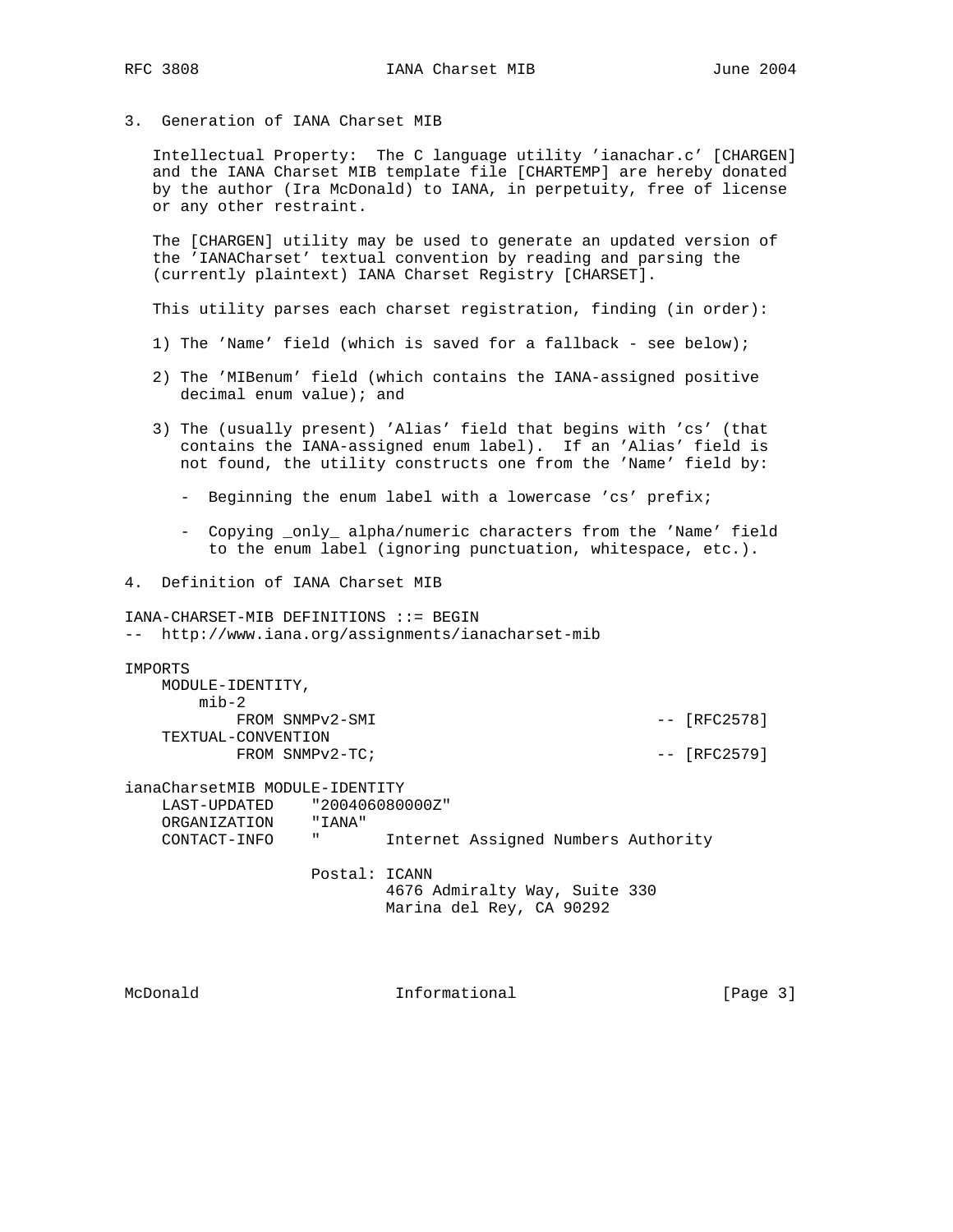3. Generation of IANA Charset MIB

 Intellectual Property: The C language utility 'ianachar.c' [CHARGEN] and the IANA Charset MIB template file [CHARTEMP] are hereby donated by the author (Ira McDonald) to IANA, in perpetuity, free of license or any other restraint.

 The [CHARGEN] utility may be used to generate an updated version of the 'IANACharset' textual convention by reading and parsing the (currently plaintext) IANA Charset Registry [CHARSET].

This utility parses each charset registration, finding (in order):

- 1) The 'Name' field (which is saved for a fallback see below);
- 2) The 'MIBenum' field (which contains the IANA-assigned positive decimal enum value); and
- 3) The (usually present) 'Alias' field that begins with 'cs' (that contains the IANA-assigned enum label). If an 'Alias' field is not found, the utility constructs one from the 'Name' field by:
	- Beginning the enum label with a lowercase 'cs' prefix;
	- Copying \_only\_ alpha/numeric characters from the 'Name' field to the enum label (ignoring punctuation, whitespace, etc.).
- 4. Definition of IANA Charset MIB

IANA-CHARSET-MIB DEFINITIONS ::= BEGIN -- http://www.iana.org/assignments/ianacharset-mib IMPORTS MODULE-IDENTITY, mib-2 FROM SNMPv2-SMI  $-$  [RFC2578] TEXTUAL-CONVENTION  $FROM \quad \text{SNNPv2-TC}$ ;  $- \quad [RFC2579]$ ianaCharsetMIB MODULE-IDENTITY LAST-UPDATED "200406080000Z" ORGANIZATION "IANA"<br>CONTACT-INFO " CONTACT-INFO " Internet Assigned Numbers Authority Postal: ICANN 4676 Admiralty Way, Suite 330 Marina del Rey, CA 90292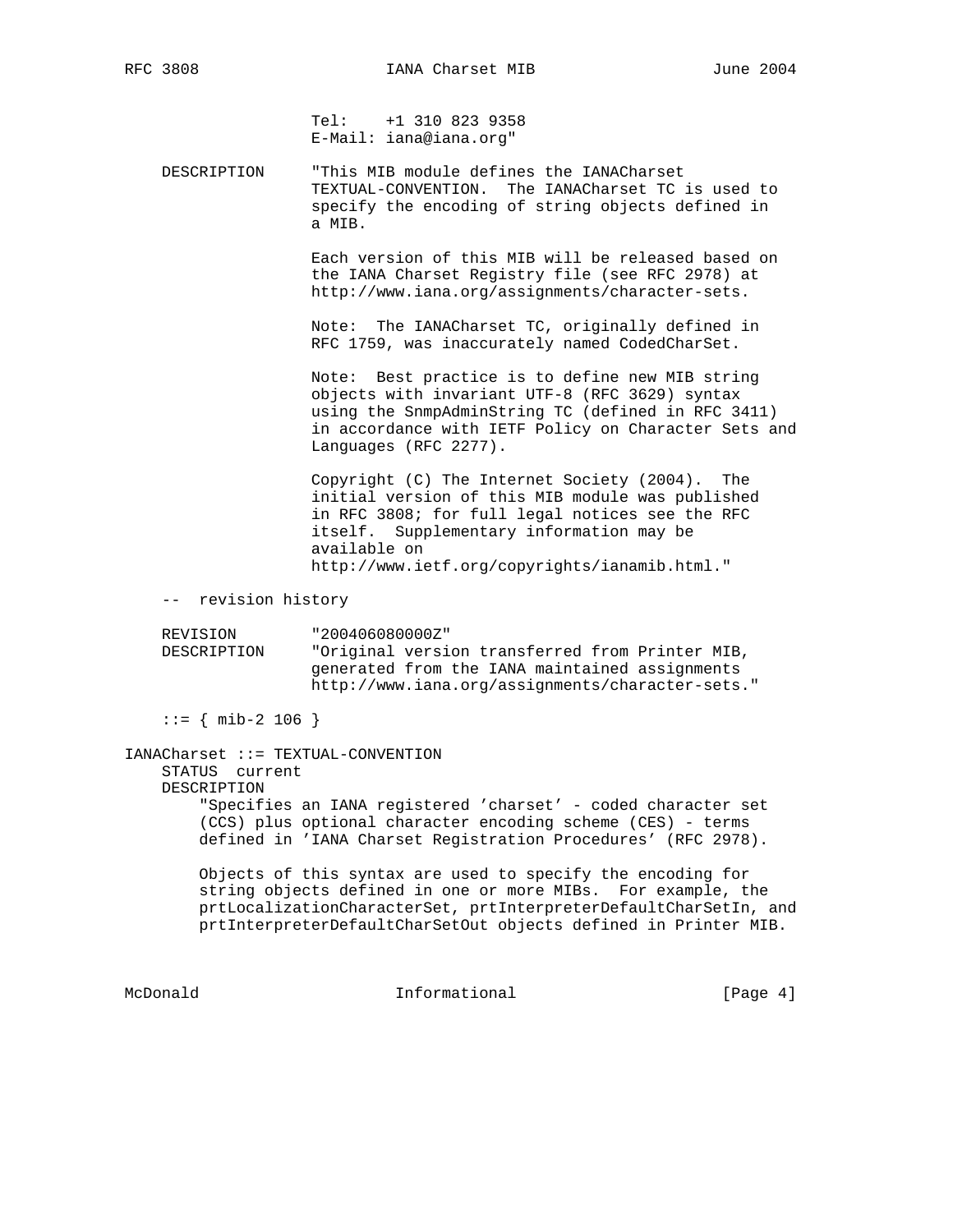Tel: +1 310 823 9358 E-Mail: iana@iana.org"

 DESCRIPTION "This MIB module defines the IANACharset TEXTUAL-CONVENTION. The IANACharset TC is used to specify the encoding of string objects defined in a MIB.

> Each version of this MIB will be released based on the IANA Charset Registry file (see RFC 2978) at http://www.iana.org/assignments/character-sets.

 Note: The IANACharset TC, originally defined in RFC 1759, was inaccurately named CodedCharSet.

 Note: Best practice is to define new MIB string objects with invariant UTF-8 (RFC 3629) syntax using the SnmpAdminString TC (defined in RFC 3411) in accordance with IETF Policy on Character Sets and Languages (RFC 2277).

 Copyright (C) The Internet Society (2004). The initial version of this MIB module was published in RFC 3808; for full legal notices see the RFC itself. Supplementary information may be available on http://www.ietf.org/copyrights/ianamib.html."

-- revision history

 REVISION "200406080000Z" DESCRIPTION "Original version transferred from Printer MIB, generated from the IANA maintained assignments http://www.iana.org/assignments/character-sets."

 $::=$  { mib-2 106 }

# IANACharset ::= TEXTUAL-CONVENTION STATUS current DESCRIPTION "Specifies an IANA registered 'charset' - coded character set (CCS) plus optional character encoding scheme (CES) - terms defined in 'IANA Charset Registration Procedures' (RFC 2978).

 Objects of this syntax are used to specify the encoding for string objects defined in one or more MIBs. For example, the prtLocalizationCharacterSet, prtInterpreterDefaultCharSetIn, and prtInterpreterDefaultCharSetOut objects defined in Printer MIB.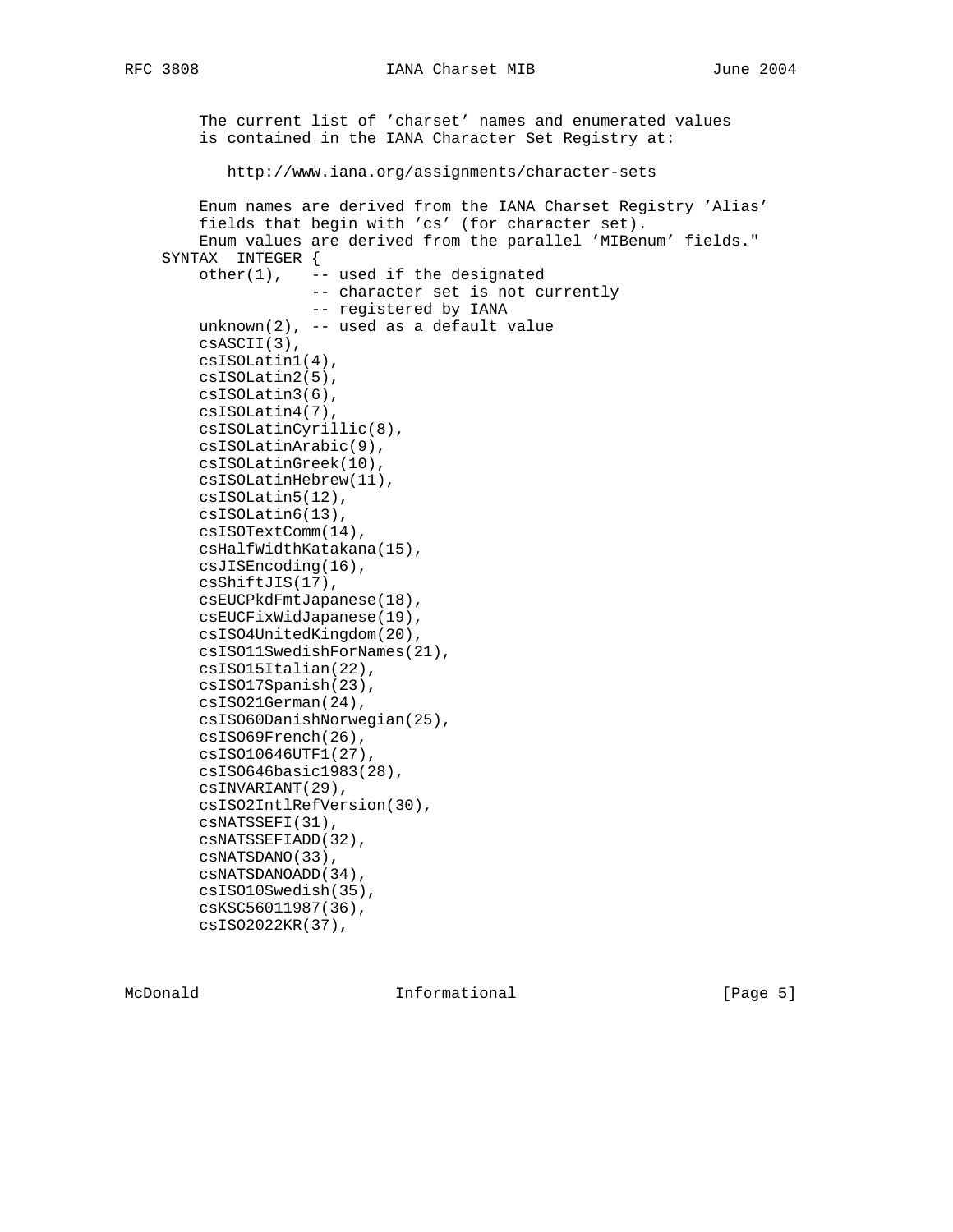```
 The current list of 'charset' names and enumerated values
    is contained in the IANA Character Set Registry at:
       http://www.iana.org/assignments/character-sets
    Enum names are derived from the IANA Charset Registry 'Alias'
    fields that begin with 'cs' (for character set).
    Enum values are derived from the parallel 'MIBenum' fields."
SYNTAX INTEGER {
  other(1), -- used if the designated
               -- character set is not currently
                -- registered by IANA
    unknown(2), -- used as a default value
    csASCII(3),
    csISOLatin1(4),
   csISOLatin2(5),
   csISOLatin3(6),
   csISOLatin4(7),
   csISOLatinCyrillic(8),
   csISOLatinArabic(9),
   csISOLatinGreek(10),
   csISOLatinHebrew(11),
   csISOLatin5(12),
   csISOLatin6(13),
   csISOTextComm(14),
   csHalfWidthKatakana(15),
   csJISEncoding(16),
   csShiftJIS(17),
   csEUCPkdFmtJapanese(18),
   csEUCFixWidJapanese(19),
   csISO4UnitedKingdom(20),
   csISO11SwedishForNames(21),
   csISO15Italian(22),
   csISO17Spanish(23),
   csISO21German(24),
   csISO60DanishNorwegian(25),
   csISO69French(26),
   csISO10646UTF1(27),
   csISO646basic1983(28),
   csINVARIANT(29),
   csISO2IntlRefVersion(30),
   csNATSSEFI(31),
   csNATSSEFIADD(32),
   csNATSDANO(33),
   csNATSDANOADD(34),
   csISO10Swedish(35),
   csKSC56011987(36),
```
csISO2022KR(37),

McDonald **Informational Informational Informational** [Page 5]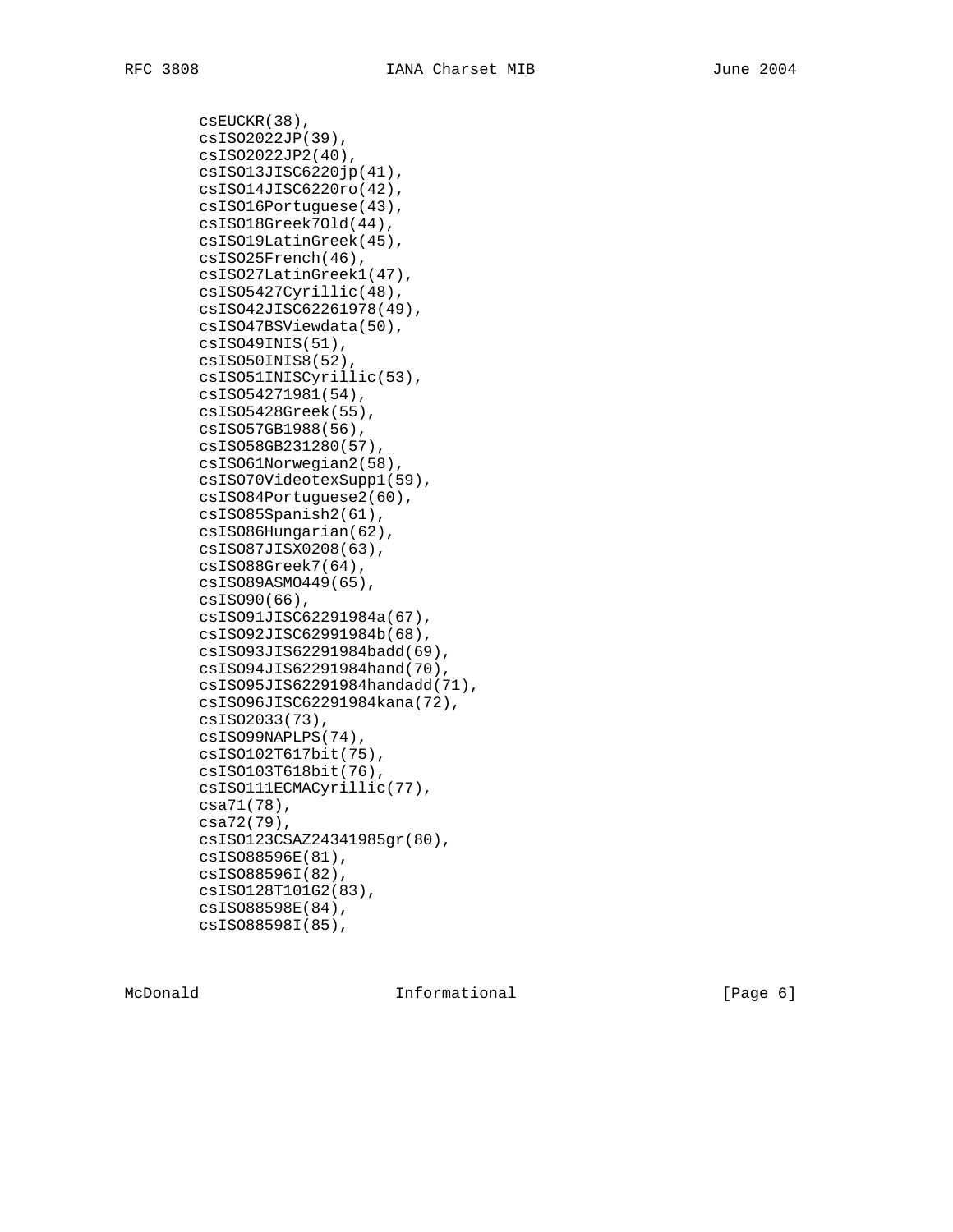csEUCKR(38), csISO2022JP(39), csISO2022JP2(40), csISO13JISC6220jp(41), csISO14JISC6220ro(42), csISO16Portuguese(43), csISO18Greek7Old(44), csISO19LatinGreek(45), csISO25French(46), csISO27LatinGreek1(47), csISO5427Cyrillic(48), csISO42JISC62261978(49), csISO47BSViewdata(50), csISO49INIS(51), csISO50INIS8(52), csISO51INISCyrillic(53), csISO54271981(54), csISO5428Greek(55), csISO57GB1988(56), csISO58GB231280(57), csISO61Norwegian2(58), csISO70VideotexSupp1(59), csISO84Portuguese2(60), csISO85Spanish2(61), csISO86Hungarian(62), csISO87JISX0208(63), csISO88Greek7(64), csISO89ASMO449(65), csISO90(66), csISO91JISC62291984a(67), csISO92JISC62991984b(68), csISO93JIS62291984badd(69), csISO94JIS62291984hand(70), csISO95JIS62291984handadd(71), csISO96JISC62291984kana(72), csISO2033(73), csISO99NAPLPS(74), csISO102T617bit(75), csISO103T618bit(76), csISO111ECMACyrillic(77), csa71(78), csa72(79), csISO123CSAZ24341985gr(80), csISO88596E(81), csISO88596I(82), csISO128T101G2(83), csISO88598E(84), csISO88598I(85),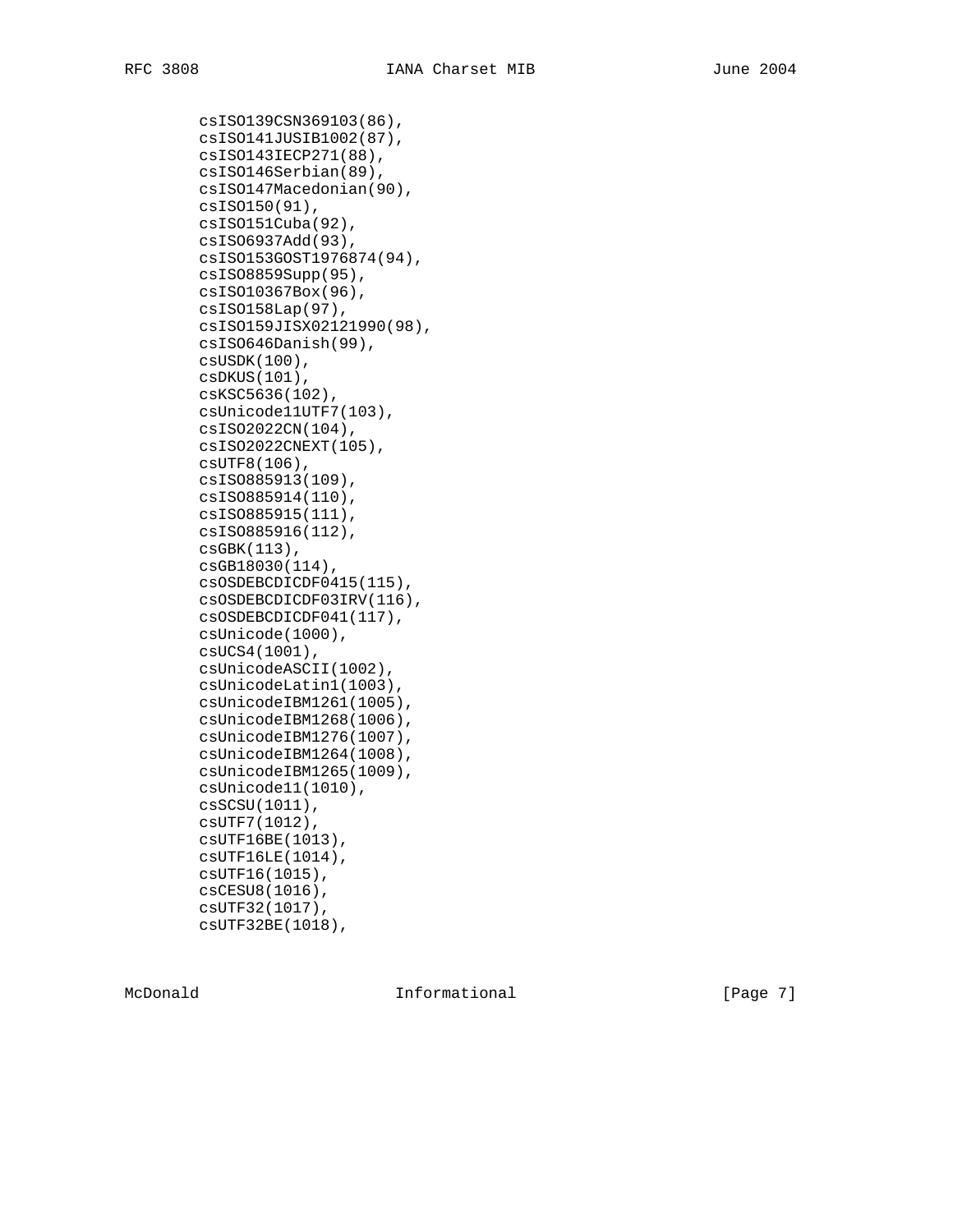csISO139CSN369103(86), csISO141JUSIB1002(87), csISO143IECP271(88), csISO146Serbian(89), csISO147Macedonian(90), csISO150(91), csISO151Cuba(92), csISO6937Add(93), csISO153GOST1976874(94), csISO8859Supp(95), csISO10367Box(96), csISO158Lap(97), csISO159JISX02121990(98), csISO646Danish(99), csUSDK(100), csDKUS(101), csKSC5636(102), csUnicode11UTF7(103), csISO2022CN(104), csISO2022CNEXT(105), csUTF8(106), csISO885913(109), csISO885914(110), csISO885915(111), csISO885916(112), csGBK(113), csGB18030(114), csOSDEBCDICDF0415(115), csOSDEBCDICDF03IRV(116), csOSDEBCDICDF041(117), csUnicode(1000), csUCS4(1001), csUnicodeASCII(1002), csUnicodeLatin1(1003), csUnicodeIBM1261(1005), csUnicodeIBM1268(1006), csUnicodeIBM1276(1007), csUnicodeIBM1264(1008), csUnicodeIBM1265(1009), csUnicode11(1010), csSCSU(1011), csUTF7(1012), csUTF16BE(1013), csUTF16LE(1014), csUTF16(1015), csCESU8(1016), csUTF32(1017), csUTF32BE(1018),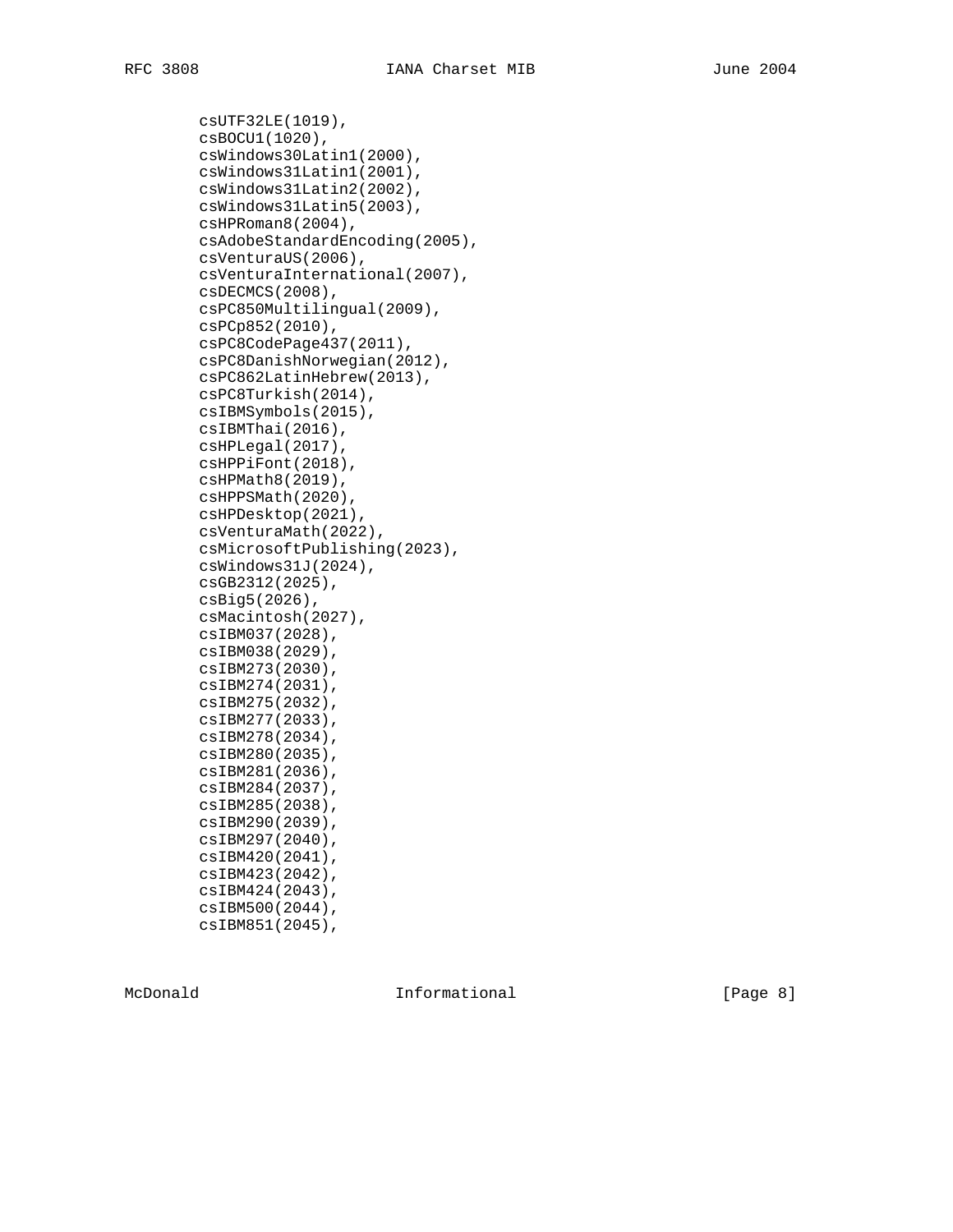csUTF32LE(1019), csBOCU1(1020), csWindows30Latin1(2000), csWindows31Latin1(2001), csWindows31Latin2(2002), csWindows31Latin5(2003), csHPRoman8(2004), csAdobeStandardEncoding(2005), csVenturaUS(2006), csVenturaInternational(2007), csDECMCS(2008), csPC850Multilingual(2009), csPCp852(2010), csPC8CodePage437(2011), csPC8DanishNorwegian(2012), csPC862LatinHebrew(2013), csPC8Turkish(2014), csIBMSymbols(2015), csIBMThai(2016), csHPLegal(2017), csHPPiFont(2018), csHPMath8(2019), csHPPSMath(2020), csHPDesktop(2021), csVenturaMath(2022), csMicrosoftPublishing(2023), csWindows31J(2024), csGB2312(2025), csBig5(2026), csMacintosh(2027), csIBM037(2028), csIBM038(2029), csIBM273(2030), csIBM274(2031), csIBM275(2032), csIBM277(2033), csIBM278(2034), csIBM280(2035), csIBM281(2036), csIBM284(2037), csIBM285(2038), csIBM290(2039), csIBM297(2040), csIBM420(2041), csIBM423(2042), csIBM424(2043), csIBM500(2044), csIBM851(2045),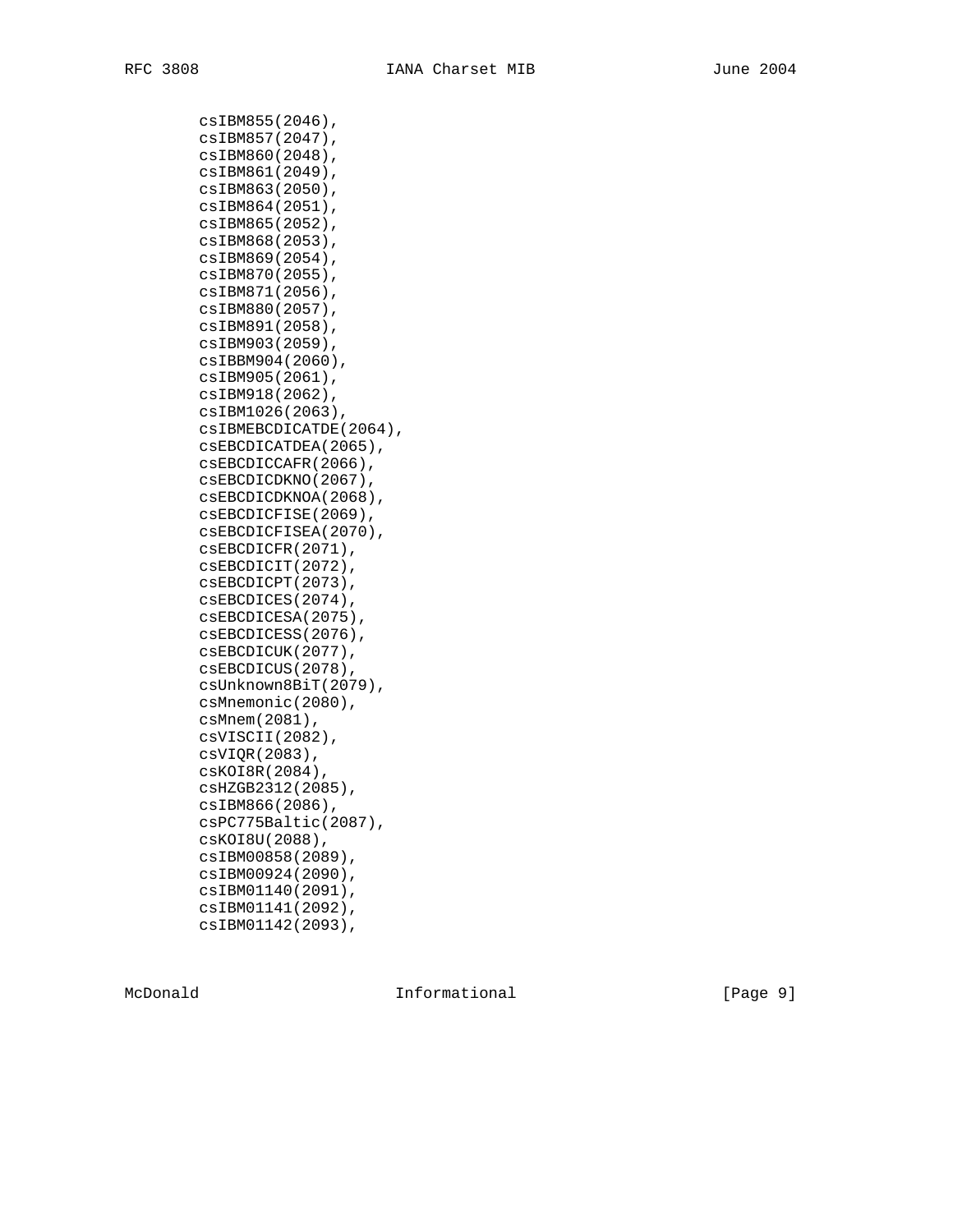csIBM855(2046), csIBM857(2047), csIBM860(2048), csIBM861(2049), csIBM863(2050), csIBM864(2051), csIBM865(2052), csIBM868(2053), csIBM869(2054), csIBM870(2055), csIBM871(2056), csIBM880(2057), csIBM891(2058), csIBM903(2059), csIBBM904(2060), csIBM905(2061), csIBM918(2062), csIBM1026(2063), csIBMEBCDICATDE(2064), csEBCDICATDEA(2065), csEBCDICCAFR(2066), csEBCDICDKNO(2067), csEBCDICDKNOA(2068), csEBCDICFISE(2069), csEBCDICFISEA(2070), csEBCDICFR(2071), csEBCDICIT(2072), csEBCDICPT(2073), csEBCDICES(2074), csEBCDICESA(2075), csEBCDICESS(2076), csEBCDICUK(2077), csEBCDICUS(2078), csUnknown8BiT(2079), csMnemonic(2080), csMnem(2081), csVISCII(2082), csVIQR(2083), csKOI8R(2084), csHZGB2312(2085), csIBM866(2086), csPC775Baltic(2087), csKOI8U(2088), csIBM00858(2089), csIBM00924(2090), csIBM01140(2091), csIBM01141(2092), csIBM01142(2093),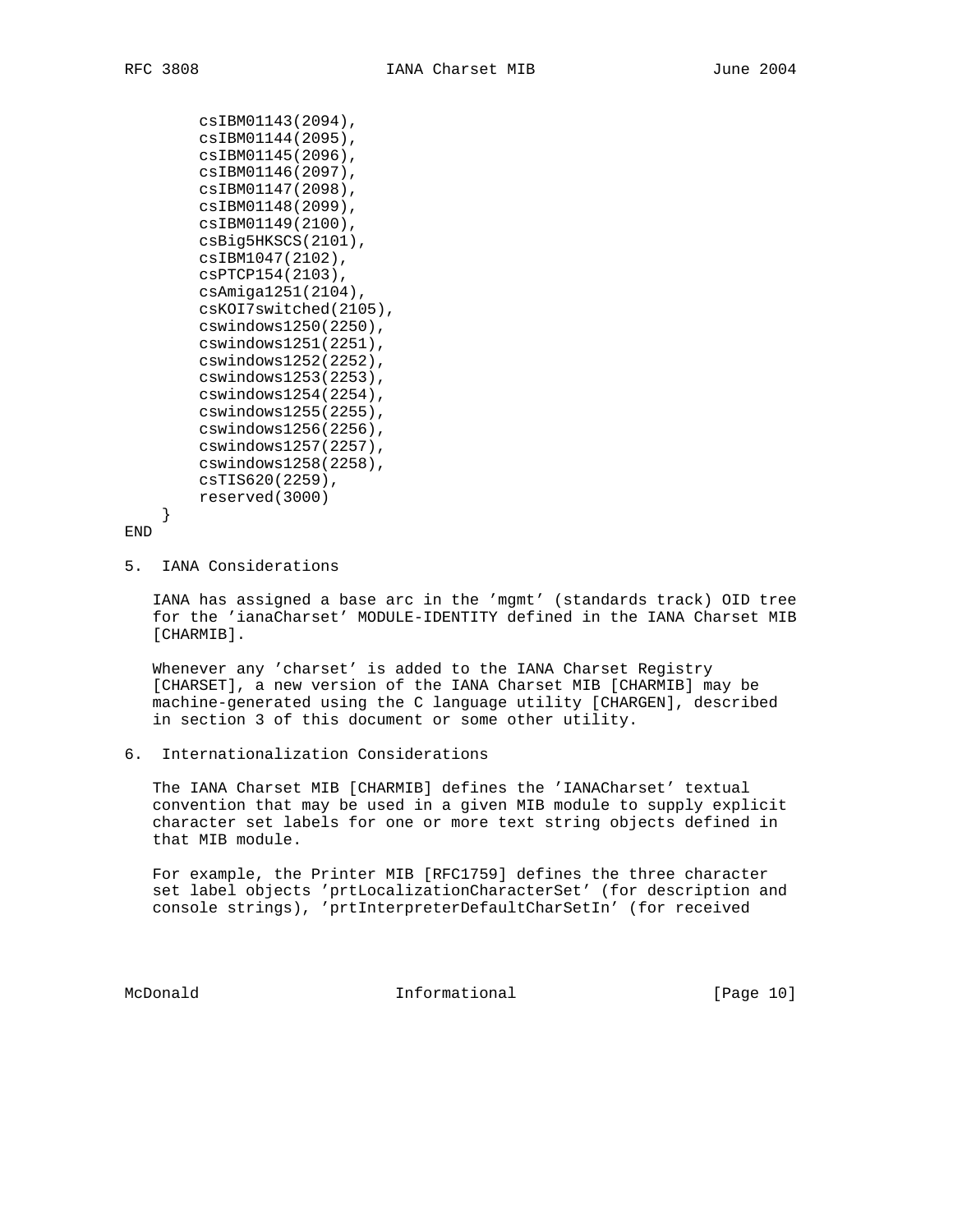csIBM01143(2094), csIBM01144(2095), csIBM01145(2096), csIBM01146(2097), csIBM01147(2098), csIBM01148(2099), csIBM01149(2100), csBig5HKSCS(2101), csIBM1047(2102), csPTCP154(2103), csAmiga1251(2104), csKOI7switched(2105), cswindows1250(2250), cswindows1251(2251), cswindows1252(2252), cswindows1253(2253), cswindows1254(2254), cswindows1255(2255), cswindows1256(2256), cswindows1257(2257), cswindows1258(2258), csTIS620(2259), reserved(3000)

```
END
```
}

5. IANA Considerations

 IANA has assigned a base arc in the 'mgmt' (standards track) OID tree for the 'ianaCharset' MODULE-IDENTITY defined in the IANA Charset MIB [CHARMIB].

 Whenever any 'charset' is added to the IANA Charset Registry [CHARSET], a new version of the IANA Charset MIB [CHARMIB] may be machine-generated using the C language utility [CHARGEN], described in section 3 of this document or some other utility.

6. Internationalization Considerations

 The IANA Charset MIB [CHARMIB] defines the 'IANACharset' textual convention that may be used in a given MIB module to supply explicit character set labels for one or more text string objects defined in that MIB module.

 For example, the Printer MIB [RFC1759] defines the three character set label objects 'prtLocalizationCharacterSet' (for description and console strings), 'prtInterpreterDefaultCharSetIn' (for received

McDonald **Informational** Informational [Page 10]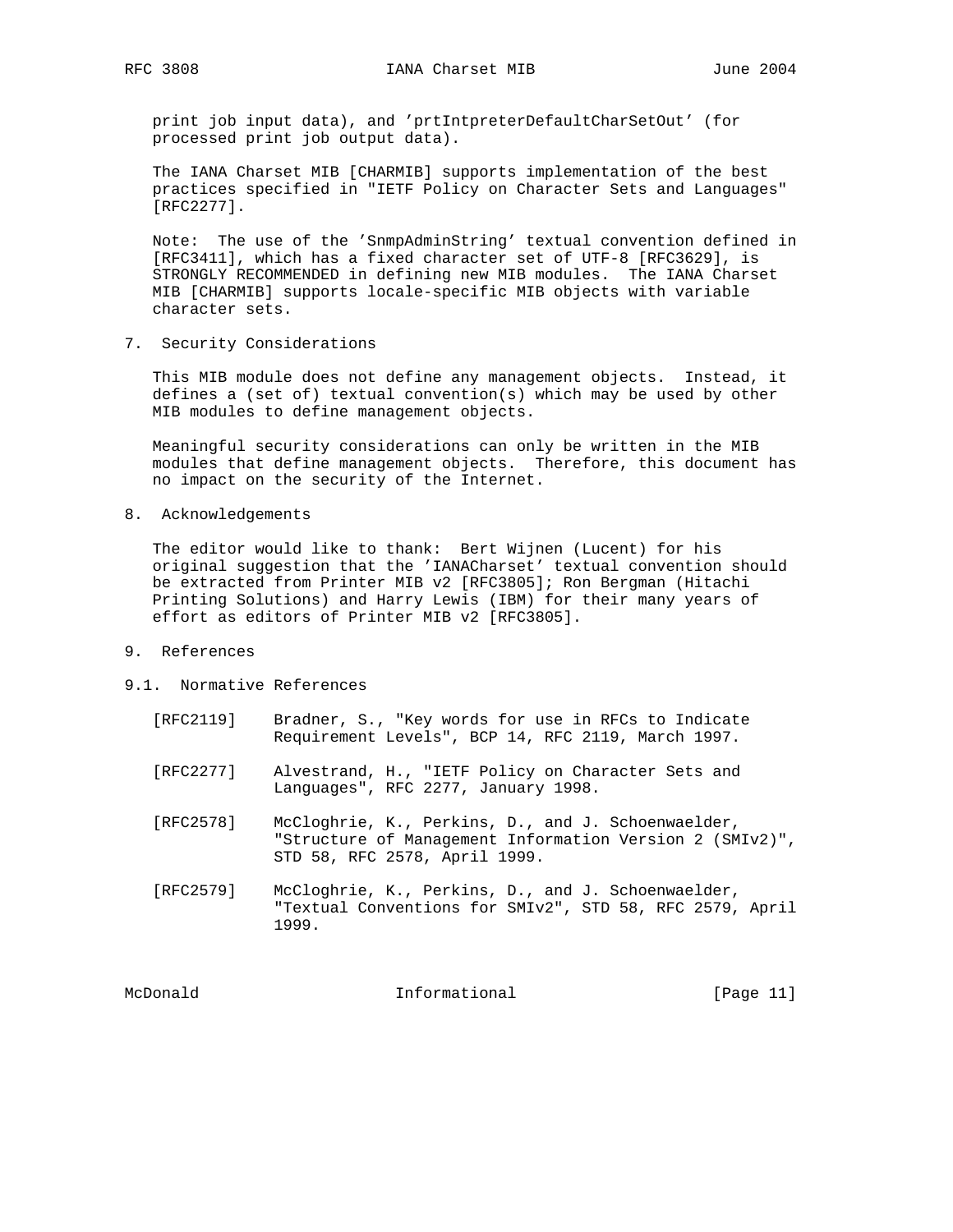print job input data), and 'prtIntpreterDefaultCharSetOut' (for processed print job output data).

 The IANA Charset MIB [CHARMIB] supports implementation of the best practices specified in "IETF Policy on Character Sets and Languages" [RFC2277].

 Note: The use of the 'SnmpAdminString' textual convention defined in [RFC3411], which has a fixed character set of UTF-8 [RFC3629], is STRONGLY RECOMMENDED in defining new MIB modules. The IANA Charset MIB [CHARMIB] supports locale-specific MIB objects with variable character sets.

7. Security Considerations

 This MIB module does not define any management objects. Instead, it defines a (set of) textual convention(s) which may be used by other MIB modules to define management objects.

 Meaningful security considerations can only be written in the MIB modules that define management objects. Therefore, this document has no impact on the security of the Internet.

8. Acknowledgements

 The editor would like to thank: Bert Wijnen (Lucent) for his original suggestion that the 'IANACharset' textual convention should be extracted from Printer MIB v2 [RFC3805]; Ron Bergman (Hitachi Printing Solutions) and Harry Lewis (IBM) for their many years of effort as editors of Printer MIB v2 [RFC3805].

- 9. References
- 9.1. Normative References
	- [RFC2119] Bradner, S., "Key words for use in RFCs to Indicate Requirement Levels", BCP 14, RFC 2119, March 1997.
	- [RFC2277] Alvestrand, H., "IETF Policy on Character Sets and Languages", RFC 2277, January 1998.
	- [RFC2578] McCloghrie, K., Perkins, D., and J. Schoenwaelder, "Structure of Management Information Version 2 (SMIv2)", STD 58, RFC 2578, April 1999.
	- [RFC2579] McCloghrie, K., Perkins, D., and J. Schoenwaelder, "Textual Conventions for SMIv2", STD 58, RFC 2579, April 1999.

McDonald **Informational Informational** [Page 11]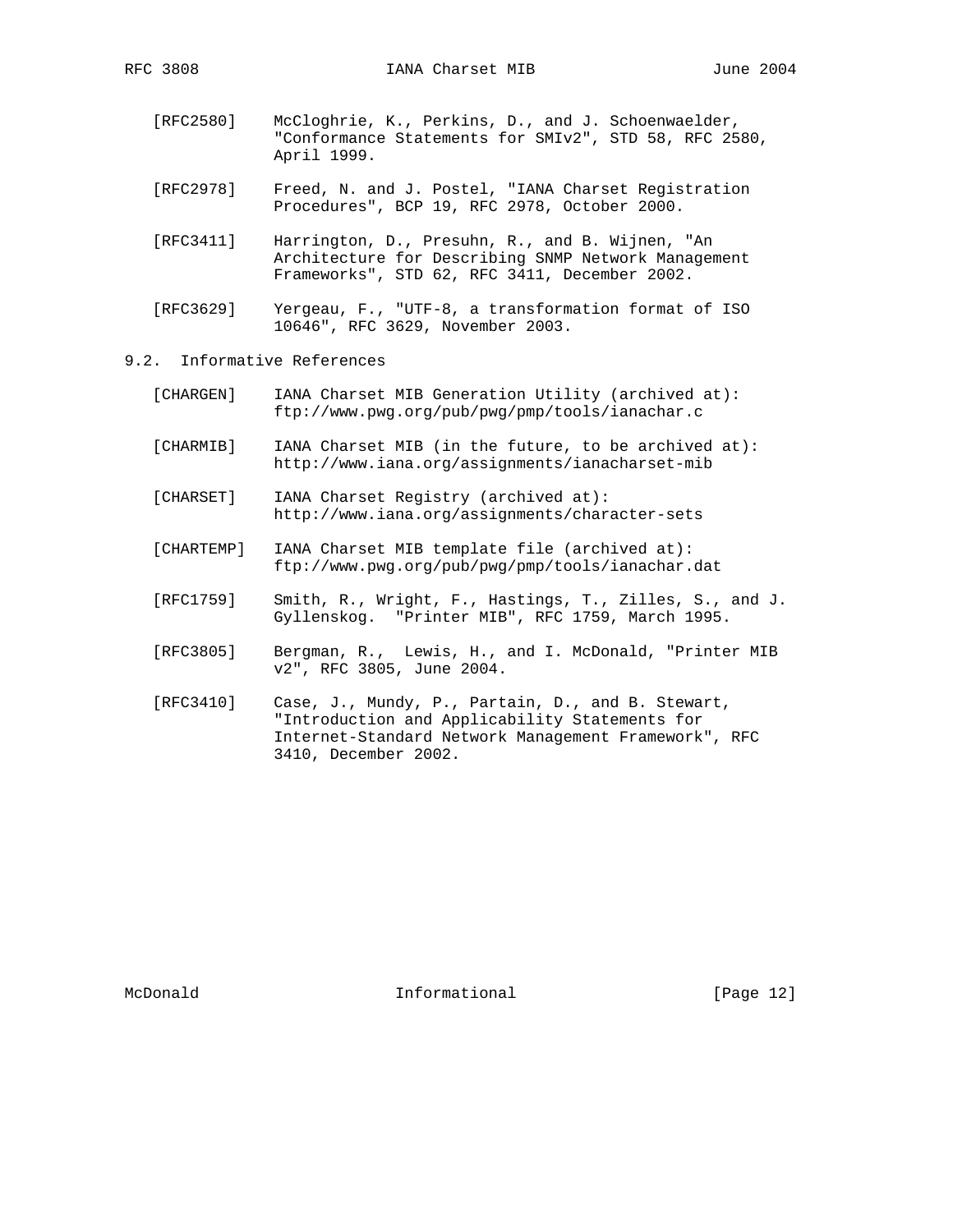- [RFC2580] McCloghrie, K., Perkins, D., and J. Schoenwaelder, "Conformance Statements for SMIv2", STD 58, RFC 2580, April 1999.
- [RFC2978] Freed, N. and J. Postel, "IANA Charset Registration Procedures", BCP 19, RFC 2978, October 2000.
- [RFC3411] Harrington, D., Presuhn, R., and B. Wijnen, "An Architecture for Describing SNMP Network Management Frameworks", STD 62, RFC 3411, December 2002.
- [RFC3629] Yergeau, F., "UTF-8, a transformation format of ISO 10646", RFC 3629, November 2003.

## 9.2. Informative References

- [CHARGEN] IANA Charset MIB Generation Utility (archived at): ftp://www.pwg.org/pub/pwg/pmp/tools/ianachar.c
- [CHARMIB] IANA Charset MIB (in the future, to be archived at): http://www.iana.org/assignments/ianacharset-mib
- [CHARSET] IANA Charset Registry (archived at): http://www.iana.org/assignments/character-sets
- [CHARTEMP] IANA Charset MIB template file (archived at): ftp://www.pwg.org/pub/pwg/pmp/tools/ianachar.dat
- [RFC1759] Smith, R., Wright, F., Hastings, T., Zilles, S., and J. Gyllenskog. "Printer MIB", RFC 1759, March 1995.
- [RFC3805] Bergman, R., Lewis, H., and I. McDonald, "Printer MIB v2", RFC 3805, June 2004.
- [RFC3410] Case, J., Mundy, P., Partain, D., and B. Stewart, "Introduction and Applicability Statements for Internet-Standard Network Management Framework", RFC 3410, December 2002.

McDonald **Informational Informational** [Page 12]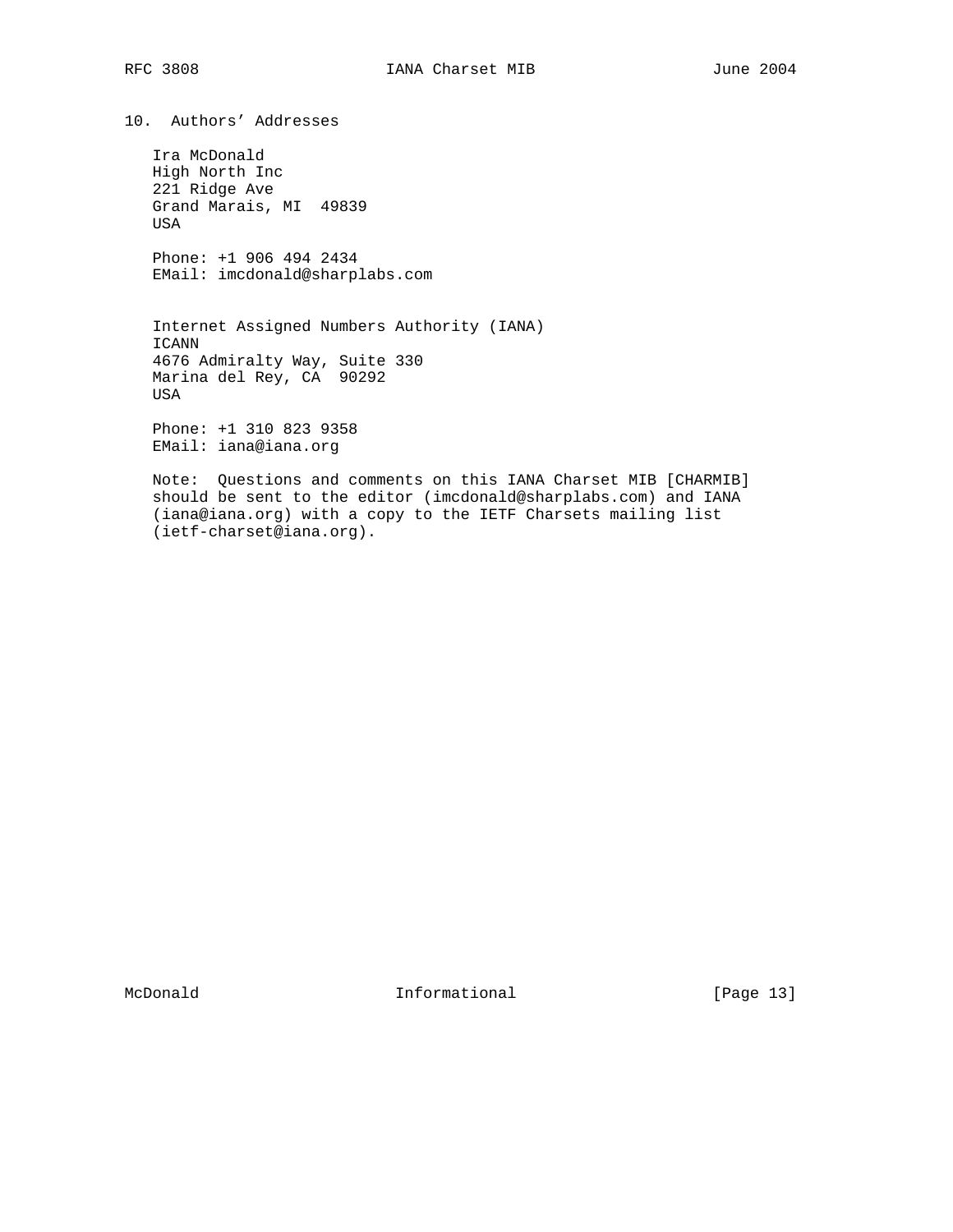10. Authors' Addresses

 Ira McDonald High North Inc 221 Ridge Ave Grand Marais, MI 49839 USA

 Phone: +1 906 494 2434 EMail: imcdonald@sharplabs.com

 Internet Assigned Numbers Authority (IANA) ICANN 4676 Admiralty Way, Suite 330 Marina del Rey, CA 90292 USA

 Phone: +1 310 823 9358 EMail: iana@iana.org

 Note: Questions and comments on this IANA Charset MIB [CHARMIB] should be sent to the editor (imcdonald@sharplabs.com) and IANA (iana@iana.org) with a copy to the IETF Charsets mailing list (ietf-charset@iana.org).

McDonald Informational [Page 13]